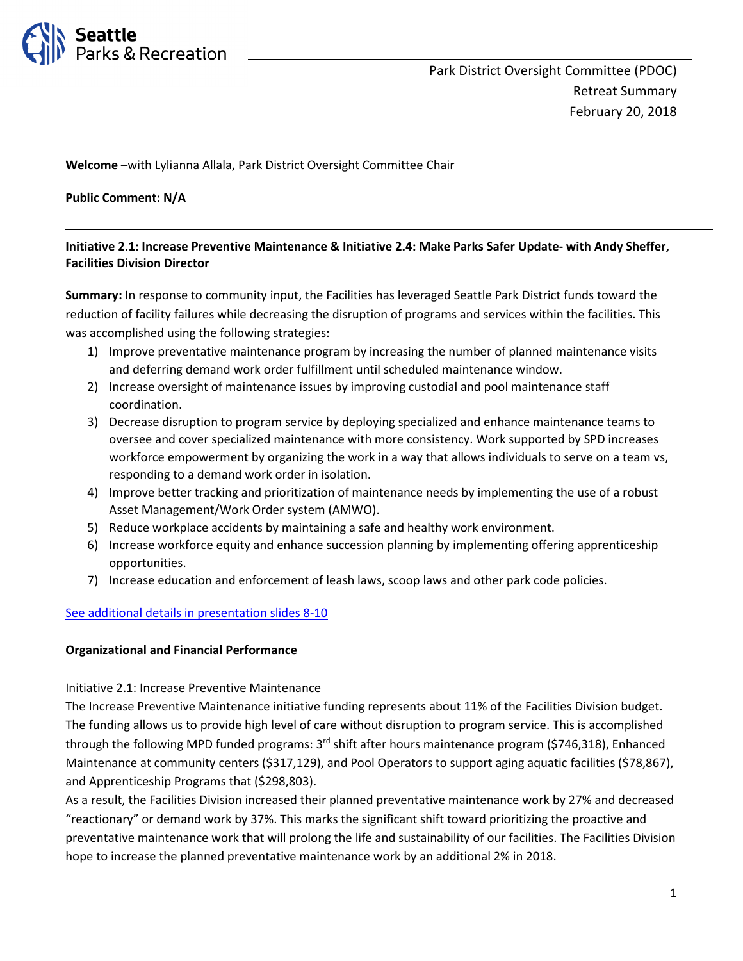

Welcome –with Lylianna Allala, Park District Oversight Committee Chair

Public Comment: N/A

# Initiative 2.1: Increase Preventive Maintenance & Initiative 2.4: Make Parks Safer Update- with Andy Sheffer, Facilities Division Director

Summary: In response to community input, the Facilities has leveraged Seattle Park District funds toward the reduction of facility failures while decreasing the disruption of programs and services within the facilities. This was accomplished using the following strategies:

- 1) Improve preventative maintenance program by increasing the number of planned maintenance visits and deferring demand work order fulfillment until scheduled maintenance window.
- 2) Increase oversight of maintenance issues by improving custodial and pool maintenance staff coordination.
- 3) Decrease disruption to program service by deploying specialized and enhance maintenance teams to oversee and cover specialized maintenance with more consistency. Work supported by SPD increases workforce empowerment by organizing the work in a way that allows individuals to serve on a team vs, responding to a demand work order in isolation.
- 4) Improve better tracking and prioritization of maintenance needs by implementing the use of a robust Asset Management/Work Order system (AMWO).
- 5) Reduce workplace accidents by maintaining a safe and healthy work environment.
- 6) Increase workforce equity and enhance succession planning by implementing offering apprenticeship opportunities.
- 7) Increase education and enforcement of leash laws, scoop laws and other park code policies.

# See additional details in presentation slides 8-10

# Organizational and Financial Performance

# Initiative 2.1: Increase Preventive Maintenance

The Increase Preventive Maintenance initiative funding represents about 11% of the Facilities Division budget. The funding allows us to provide high level of care without disruption to program service. This is accomplished through the following MPD funded programs:  $3<sup>rd</sup>$  shift after hours maintenance program (\$746,318), Enhanced Maintenance at community centers (\$317,129), and Pool Operators to support aging aquatic facilities (\$78,867), and Apprenticeship Programs that (\$298,803).

As a result, the Facilities Division increased their planned preventative maintenance work by 27% and decreased "reactionary" or demand work by 37%. This marks the significant shift toward prioritizing the proactive and preventative maintenance work that will prolong the life and sustainability of our facilities. The Facilities Division hope to increase the planned preventative maintenance work by an additional 2% in 2018.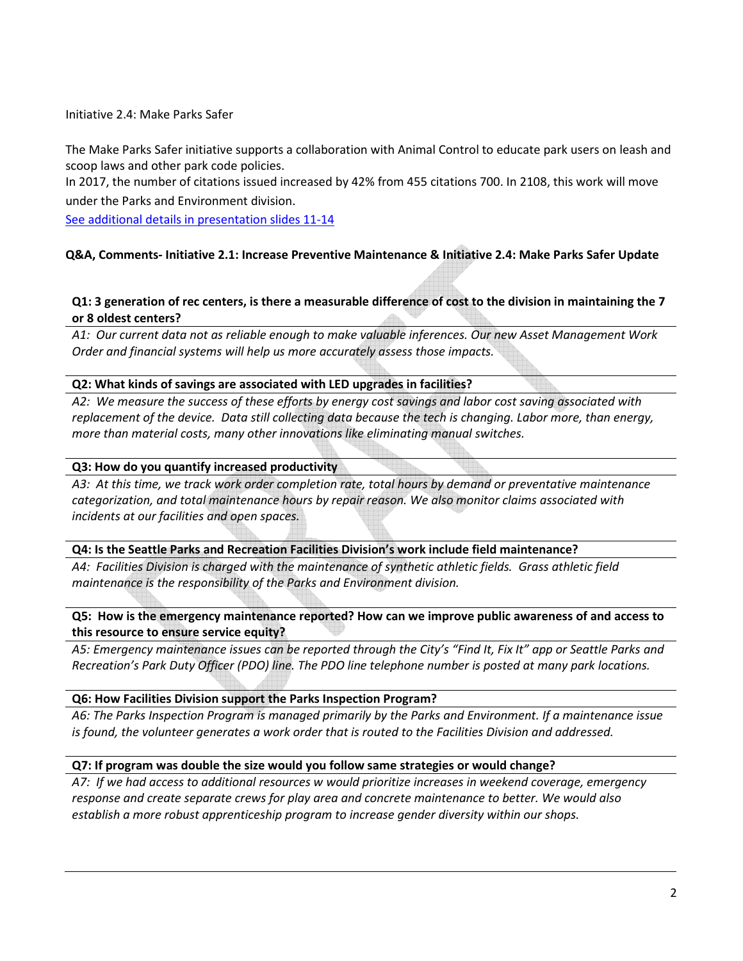Initiative 2.4: Make Parks Safer

The Make Parks Safer initiative supports a collaboration with Animal Control to educate park users on leash and scoop laws and other park code policies.

In 2017, the number of citations issued increased by 42% from 455 citations 700. In 2108, this work will move under the Parks and Environment division.

See additional details in presentation slides 11-14

# Q&A, Comments- Initiative 2.1: Increase Preventive Maintenance & Initiative 2.4: Make Parks Safer Update

# Q1: 3 generation of rec centers, is there a measurable difference of cost to the division in maintaining the 7 or 8 oldest centers?

A1: Our current data not as reliable enough to make valuable inferences. Our new Asset Management Work Order and financial systems will help us more accurately assess those impacts.

### Q2: What kinds of savings are associated with LED upgrades in facilities?

A2: We measure the success of these efforts by energy cost savings and labor cost saving associated with replacement of the device. Data still collecting data because the tech is changing. Labor more, than energy, more than material costs, many other innovations like eliminating manual switches.

### Q3: How do you quantify increased productivity

A3: At this time, we track work order completion rate, total hours by demand or preventative maintenance categorization, and total maintenance hours by repair reason. We also monitor claims associated with incidents at our facilities and open spaces.

#### Q4: Is the Seattle Parks and Recreation Facilities Division's work include field maintenance?

A4: Facilities Division is charged with the maintenance of synthetic athletic fields. Grass athletic field maintenance is the responsibility of the Parks and Environment division.

### Q5: How is the emergency maintenance reported? How can we improve public awareness of and access to this resource to ensure service equity?

A5: Emergency maintenance issues can be reported through the City's "Find It, Fix It" app or Seattle Parks and Recreation's Park Duty Officer (PDO) line. The PDO line telephone number is posted at many park locations.

#### Q6: How Facilities Division support the Parks Inspection Program?

A6: The Parks Inspection Program is managed primarily by the Parks and Environment. If a maintenance issue is found, the volunteer generates a work order that is routed to the Facilities Division and addressed.

# Q7: If program was double the size would you follow same strategies or would change?

A7: If we had access to additional resources w would prioritize increases in weekend coverage, emergency response and create separate crews for play area and concrete maintenance to better. We would also establish a more robust apprenticeship program to increase gender diversity within our shops.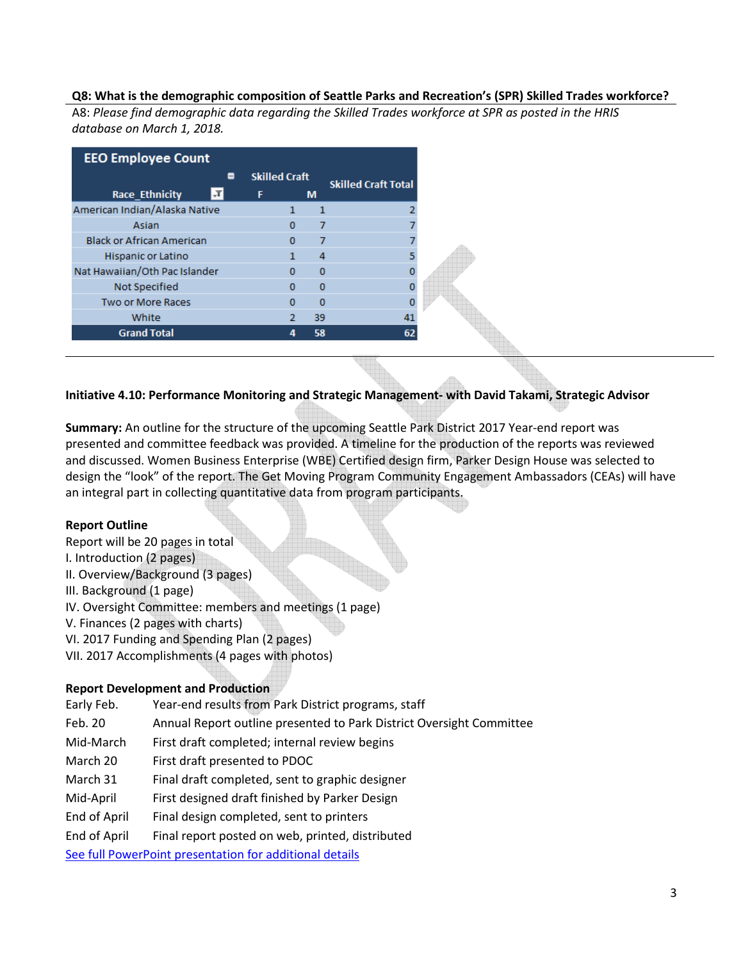### Q8: What is the demographic composition of Seattle Parks and Recreation's (SPR) Skilled Trades workforce?

A8: Please find demographic data regarding the Skilled Trades workforce at SPR as posted in the HRIS database on March 1, 2018.

| <b>EEO Employee Count</b>        |   |                      |          |          |                            |
|----------------------------------|---|----------------------|----------|----------|----------------------------|
|                                  | ⊟ | <b>Skilled Craft</b> |          |          | <b>Skilled Craft Total</b> |
| <b>Race Ethnicity</b>            |   | F                    |          | м        |                            |
| American Indian/Alaska Native    |   |                      |          | 1        |                            |
| Asian                            |   |                      | $\Omega$ | 7        |                            |
| <b>Black or African American</b> |   |                      | $\Omega$ | 7        |                            |
| Hispanic or Latino               |   |                      | 1        | 4        |                            |
| Nat Hawaiian/Oth Pac Islander    |   |                      | $\Omega$ | $\Omega$ |                            |
| Not Specified                    |   |                      | o        | $\Omega$ |                            |
| Two or More Races                |   |                      | $\Omega$ | $\Omega$ |                            |
| White                            |   |                      | 2        | 39       | 41                         |
| <b>Grand Total</b>               |   |                      | 4        | 58       | 62                         |

# Initiative 4.10: Performance Monitoring and Strategic Management- with David Takami, Strategic Advisor

Summary: An outline for the structure of the upcoming Seattle Park District 2017 Year-end report was presented and committee feedback was provided. A timeline for the production of the reports was reviewed and discussed. Women Business Enterprise (WBE) Certified design firm, Parker Design House was selected to design the "look" of the report. The Get Moving Program Community Engagement Ambassadors (CEAs) will have an integral part in collecting quantitative data from program participants.

# Report Outline

Report will be 20 pages in total I. Introduction (2 pages) II. Overview/Background (3 pages) III. Background (1 page) IV. Oversight Committee: members and meetings (1 page) V. Finances (2 pages with charts) VI. 2017 Funding and Spending Plan (2 pages) VII. 2017 Accomplishments (4 pages with photos)

# Report Development and Production

| Early Feb.                                              | Year-end results from Park District programs, staff                  |  |  |
|---------------------------------------------------------|----------------------------------------------------------------------|--|--|
| Feb. 20                                                 | Annual Report outline presented to Park District Oversight Committee |  |  |
| Mid-March                                               | First draft completed; internal review begins                        |  |  |
| March 20                                                | First draft presented to PDOC                                        |  |  |
| March 31                                                | Final draft completed, sent to graphic designer                      |  |  |
| Mid-April                                               | First designed draft finished by Parker Design                       |  |  |
| End of April                                            | Final design completed, sent to printers                             |  |  |
| End of April                                            | Final report posted on web, printed, distributed                     |  |  |
| See full PowerPoint presentation for additional details |                                                                      |  |  |